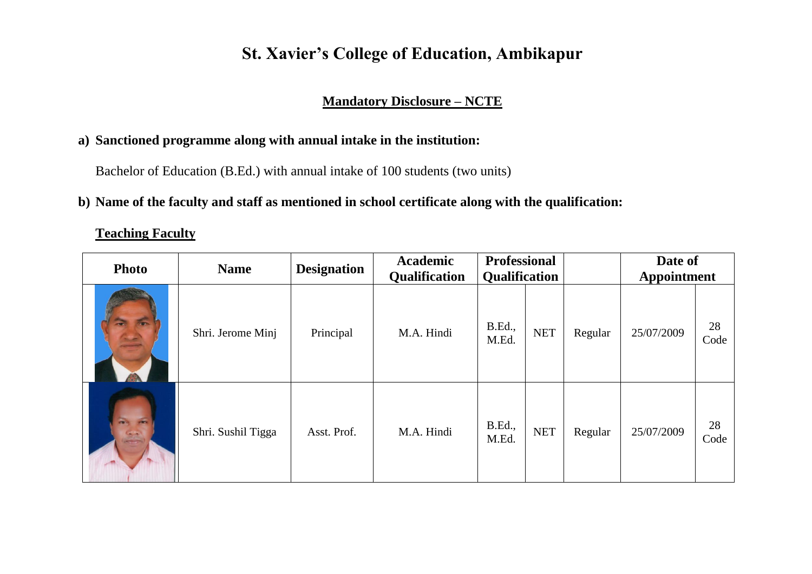# **St. Xavier's College of Education, Ambikapur**

## **Mandatory Disclosure – NCTE**

### **a) Sanctioned programme along with annual intake in the institution:**

Bachelor of Education (B.Ed.) with annual intake of 100 students (two units)

### **b) Name of the faculty and staff as mentioned in school certificate along with the qualification:**

**Teaching Faculty**

| <b>Photo</b>      | <b>Name</b>        | <b>Designation</b> | <b>Academic</b><br>Qualification | <b>Professional</b><br><b>Qualification</b> |            |         | Date of<br><b>Appointment</b> |            |
|-------------------|--------------------|--------------------|----------------------------------|---------------------------------------------|------------|---------|-------------------------------|------------|
| <b>Terms</b>      | Shri. Jerome Minj  | Principal          | M.A. Hindi                       | <b>B.Ed.,</b><br>M.Ed.                      | <b>NET</b> | Regular | 25/07/2009                    | 28<br>Code |
| <b>CONTRACTOR</b> | Shri. Sushil Tigga | Asst. Prof.        | M.A. Hindi                       | B.Ed.,<br>M.Ed.                             | <b>NET</b> | Regular | 25/07/2009                    | 28<br>Code |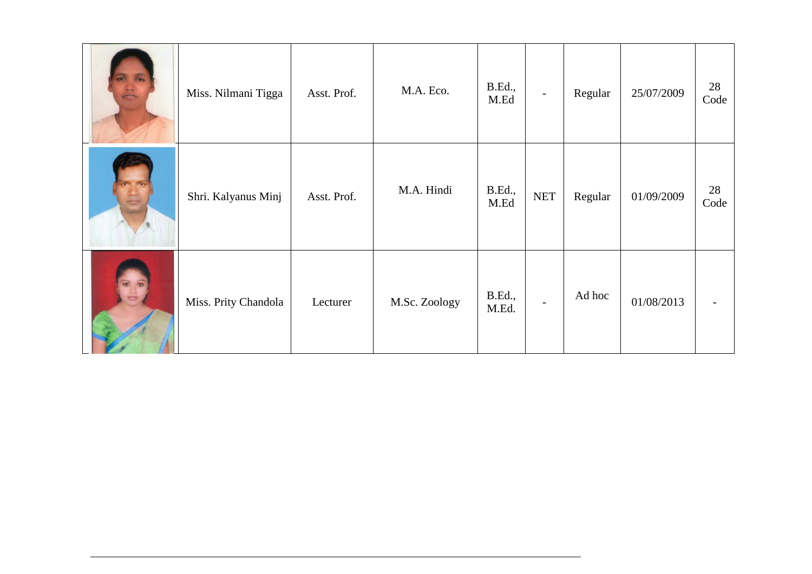|         | Miss. Nilmani Tigga  | Asst. Prof. | M.A. Eco.     | <b>B.Ed.,</b><br>M.Ed | $\overline{\phantom{a}}$ | Regular | 25/07/2009 | 28<br>Code |
|---------|----------------------|-------------|---------------|-----------------------|--------------------------|---------|------------|------------|
|         | Shri. Kalyanus Minj  | Asst. Prof. | M.A. Hindi    | B.Ed.,<br>M.Ed        | $\operatorname{NET}$     | Regular | 01/09/2009 | 28<br>Code |
| $\circ$ | Miss. Prity Chandola | Lecturer    | M.Sc. Zoology | B.Ed.,<br>M.Ed.       |                          | Ad hoc  | 01/08/2013 |            |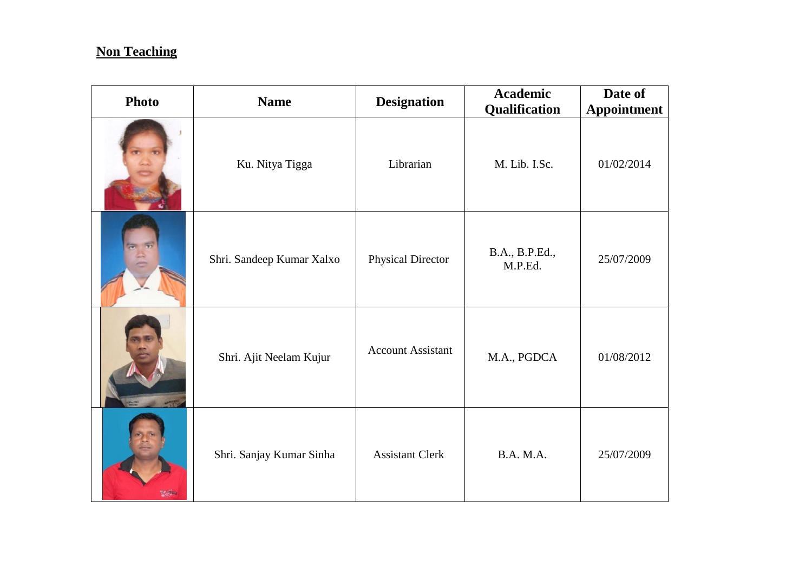# **Non Teaching**

| <b>Photo</b> | <b>Name</b>               | <b>Designation</b>       | <b>Academic</b><br>Qualification | Date of<br><b>Appointment</b> |
|--------------|---------------------------|--------------------------|----------------------------------|-------------------------------|
|              | Ku. Nitya Tigga           | Librarian                | M. Lib. I.Sc.                    | 01/02/2014                    |
|              | Shri. Sandeep Kumar Xalxo | Physical Director        | B.A., B.P.Ed.,<br>M.P.Ed.        | 25/07/2009                    |
|              | Shri. Ajit Neelam Kujur   | <b>Account Assistant</b> | M.A., PGDCA                      | 01/08/2012                    |
| <b>START</b> | Shri. Sanjay Kumar Sinha  | <b>Assistant Clerk</b>   | <b>B.A. M.A.</b>                 | 25/07/2009                    |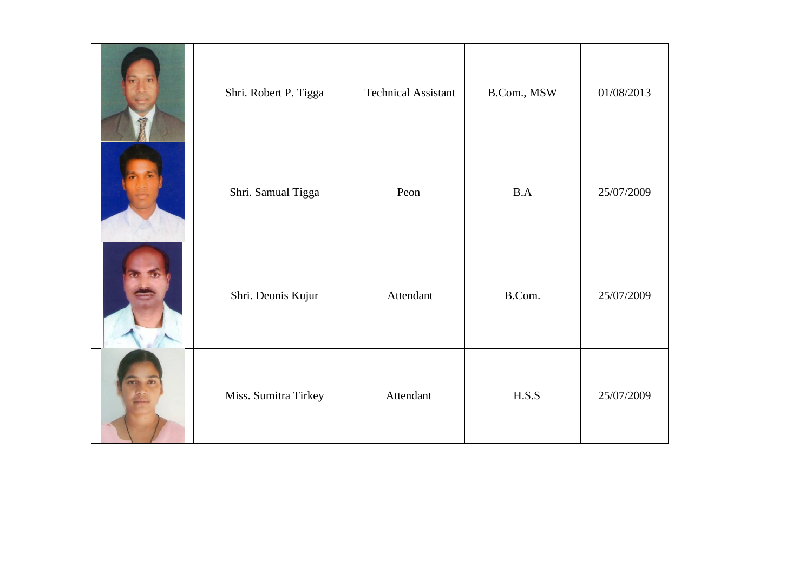| Shri. Robert P. Tigga | <b>Technical Assistant</b> | B.Com., MSW | 01/08/2013 |
|-----------------------|----------------------------|-------------|------------|
| Shri. Samual Tigga    | Peon                       | B.A         | 25/07/2009 |
| Shri. Deonis Kujur    | Attendant                  | B.Com.      | 25/07/2009 |
| Miss. Sumitra Tirkey  | Attendant                  | H.S.S       | 25/07/2009 |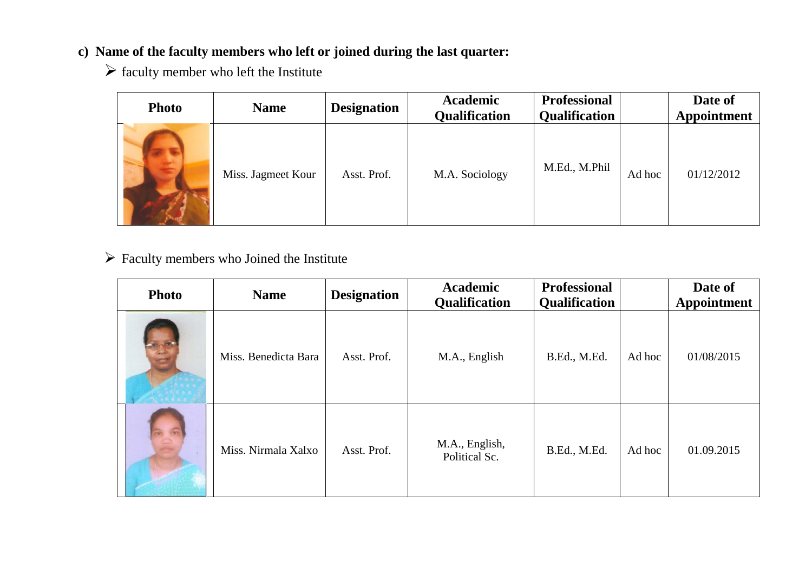# **c) Name of the faculty members who left or joined during the last quarter:**

 $\triangleright$  faculty member who left the Institute

| <b>Photo</b> | <b>Name</b>        | <b>Designation</b> | <b>Academic</b><br><b>Qualification</b> | <b>Professional</b><br><b>Qualification</b> |        | Date of<br>Appointment |
|--------------|--------------------|--------------------|-----------------------------------------|---------------------------------------------|--------|------------------------|
|              | Miss. Jagmeet Kour | Asst. Prof.        | M.A. Sociology                          | M.Ed., M.Phil                               | Ad hoc | 01/12/2012             |

 $\triangleright$  Faculty members who Joined the Institute

| <b>Photo</b>         | <b>Name</b>          | <b>Designation</b> | <b>Academic</b><br>Qualification | <b>Professional</b><br>Qualification |        | Date of<br><b>Appointment</b> |
|----------------------|----------------------|--------------------|----------------------------------|--------------------------------------|--------|-------------------------------|
|                      | Miss. Benedicta Bara | Asst. Prof.        | M.A., English                    | B.Ed., M.Ed.                         | Ad hoc | 01/08/2015                    |
| $\frac{1}{\sqrt{2}}$ | Miss. Nirmala Xalxo  | Asst. Prof.        | M.A., English,<br>Political Sc.  | B.Ed., M.Ed.                         | Ad hoc | 01.09.2015                    |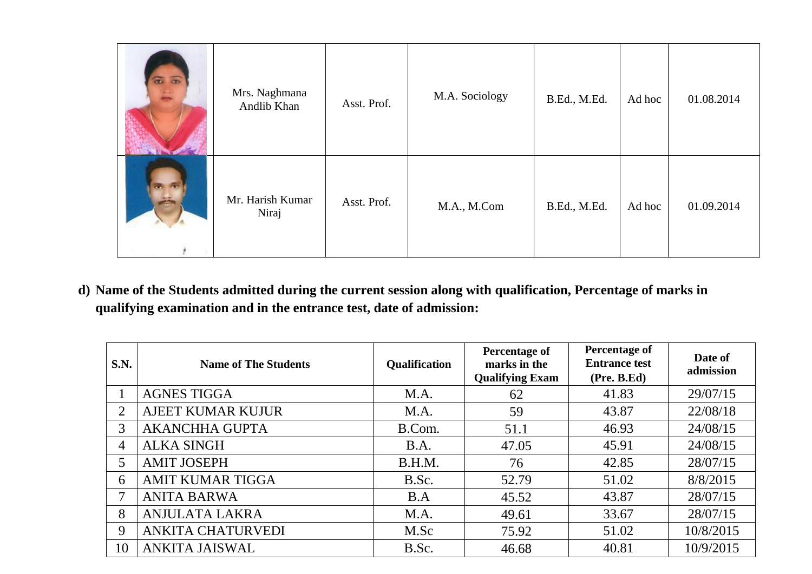| 65 | Mrs. Naghmana<br>Andlib Khan | Asst. Prof. | M.A. Sociology | B.Ed., M.Ed. | Ad hoc | 01.08.2014 |
|----|------------------------------|-------------|----------------|--------------|--------|------------|
|    | Mr. Harish Kumar<br>Niraj    | Asst. Prof. | M.A., M.Com    | B.Ed., M.Ed. | Ad hoc | 01.09.2014 |

**d) Name of the Students admitted during the current session along with qualification, Percentage of marks in qualifying examination and in the entrance test, date of admission:**

| S.N.           | <b>Name of The Students</b> | <b>Qualification</b> | Percentage of<br>marks in the<br><b>Qualifying Exam</b> | <b>Percentage of</b><br><b>Entrance test</b><br>(Pre. B.Ed) | Date of<br>admission |
|----------------|-----------------------------|----------------------|---------------------------------------------------------|-------------------------------------------------------------|----------------------|
|                | <b>AGNES TIGGA</b>          | M.A.                 | 62                                                      | 41.83                                                       | 29/07/15             |
| 2              | <b>AJEET KUMAR KUJUR</b>    | M.A.                 | 59                                                      | 43.87                                                       | 22/08/18             |
| 3              | <b>AKANCHHA GUPTA</b>       | B.Com.               | 51.1                                                    | 46.93                                                       | 24/08/15             |
| $\overline{4}$ | <b>ALKA SINGH</b>           | B.A.                 | 47.05                                                   | 45.91                                                       | 24/08/15             |
| 5              | <b>AMIT JOSEPH</b>          | B.H.M.               | 76                                                      | 42.85                                                       | 28/07/15             |
| 6              | <b>AMIT KUMAR TIGGA</b>     | B.Sc.                | 52.79                                                   | 51.02                                                       | 8/8/2015             |
| 7              | <b>ANITA BARWA</b>          | B.A                  | 45.52                                                   | 43.87                                                       | 28/07/15             |
| 8              | <b>ANJULATA LAKRA</b>       | M.A.                 | 49.61                                                   | 33.67                                                       | 28/07/15             |
| 9              | <b>ANKITA CHATURVEDI</b>    | M.Sc                 | 75.92                                                   | 51.02                                                       | 10/8/2015            |
| 10             | <b>ANKITA JAISWAL</b>       | B.Sc.                | 46.68                                                   | 40.81                                                       | 10/9/2015            |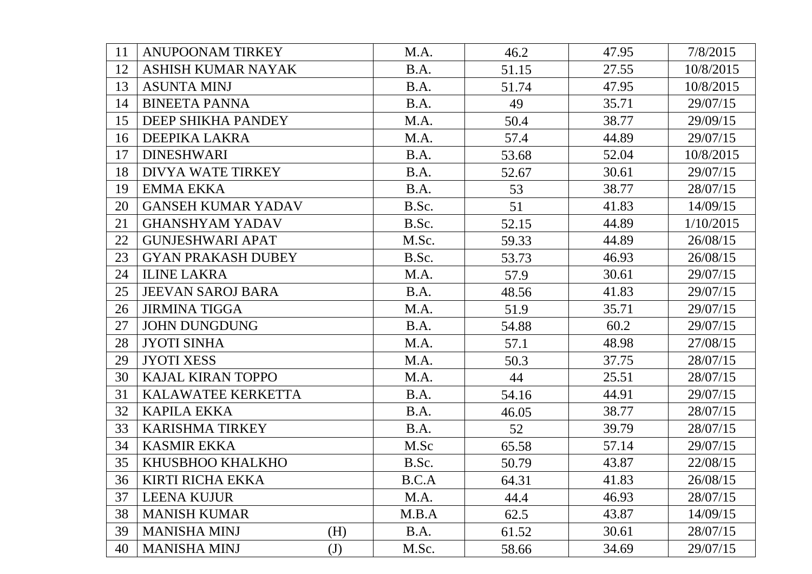| 11 | <b>ANUPOONAM TIRKEY</b>   |              | M.A.  | 46.2  | 47.95 | 7/8/2015  |
|----|---------------------------|--------------|-------|-------|-------|-----------|
| 12 | ASHISH KUMAR NAYAK        |              | B.A.  | 51.15 | 27.55 | 10/8/2015 |
| 13 | <b>ASUNTA MINJ</b>        |              | B.A.  | 51.74 | 47.95 | 10/8/2015 |
| 14 | <b>BINEETA PANNA</b>      |              | B.A.  | 49    | 35.71 | 29/07/15  |
| 15 | DEEP SHIKHA PANDEY        |              | M.A.  | 50.4  | 38.77 | 29/09/15  |
| 16 | DEEPIKA LAKRA             |              | M.A.  | 57.4  | 44.89 | 29/07/15  |
| 17 | <b>DINESHWARI</b>         |              | B.A.  | 53.68 | 52.04 | 10/8/2015 |
| 18 | <b>DIVYA WATE TIRKEY</b>  |              | B.A.  | 52.67 | 30.61 | 29/07/15  |
| 19 | <b>EMMA EKKA</b>          |              | B.A.  | 53    | 38.77 | 28/07/15  |
| 20 | <b>GANSEH KUMAR YADAV</b> |              | B.Sc. | 51    | 41.83 | 14/09/15  |
| 21 | <b>GHANSHYAM YADAV</b>    |              | B.Sc. | 52.15 | 44.89 | 1/10/2015 |
| 22 | <b>GUNJESHWARI APAT</b>   |              | M.Sc. | 59.33 | 44.89 | 26/08/15  |
| 23 | <b>GYAN PRAKASH DUBEY</b> |              | B.Sc. | 53.73 | 46.93 | 26/08/15  |
| 24 | <b>ILINE LAKRA</b>        |              | M.A.  | 57.9  | 30.61 | 29/07/15  |
| 25 | <b>JEEVAN SAROJ BARA</b>  |              | B.A.  | 48.56 | 41.83 | 29/07/15  |
| 26 | <b>JIRMINA TIGGA</b>      |              | M.A.  | 51.9  | 35.71 | 29/07/15  |
| 27 | <b>JOHN DUNGDUNG</b>      |              | B.A.  | 54.88 | 60.2  | 29/07/15  |
| 28 | <b>JYOTI SINHA</b>        |              | M.A.  | 57.1  | 48.98 | 27/08/15  |
| 29 | <b>JYOTI XESS</b>         |              | M.A.  | 50.3  | 37.75 | 28/07/15  |
| 30 | <b>KAJAL KIRAN TOPPO</b>  |              | M.A.  | 44    | 25.51 | 28/07/15  |
| 31 | KALAWATEE KERKETTA        |              | B.A.  | 54.16 | 44.91 | 29/07/15  |
| 32 | <b>KAPILA EKKA</b>        |              | B.A.  | 46.05 | 38.77 | 28/07/15  |
| 33 | <b>KARISHMA TIRKEY</b>    |              | B.A.  | 52    | 39.79 | 28/07/15  |
| 34 | <b>KASMIR EKKA</b>        |              | M.Sc  | 65.58 | 57.14 | 29/07/15  |
| 35 | KHUSBHOO KHALKHO          |              | B.Sc. | 50.79 | 43.87 | 22/08/15  |
| 36 | <b>KIRTI RICHA EKKA</b>   |              | B.C.A | 64.31 | 41.83 | 26/08/15  |
| 37 | <b>LEENA KUJUR</b>        |              | M.A.  | 44.4  | 46.93 | 28/07/15  |
| 38 | <b>MANISH KUMAR</b>       |              | M.B.A | 62.5  | 43.87 | 14/09/15  |
| 39 | <b>MANISHA MINJ</b>       | (H)          | B.A.  | 61.52 | 30.61 | 28/07/15  |
| 40 | <b>MANISHA MINJ</b>       | $\mathrm{J}$ | M.Sc. | 58.66 | 34.69 | 29/07/15  |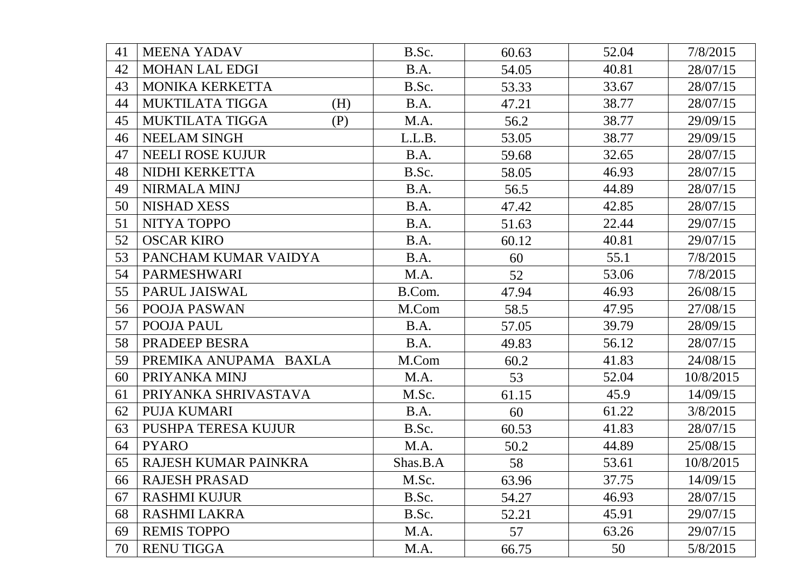| 41 | <b>MEENA YADAV</b>            | B.Sc.    | 60.63 | 52.04 | 7/8/2015  |
|----|-------------------------------|----------|-------|-------|-----------|
| 42 | <b>MOHAN LAL EDGI</b>         | B.A.     | 54.05 | 40.81 | 28/07/15  |
| 43 | MONIKA KERKETTA               | B.Sc.    | 53.33 | 33.67 | 28/07/15  |
| 44 | <b>MUKTILATA TIGGA</b><br>(H) | B.A.     | 47.21 | 38.77 | 28/07/15  |
| 45 | MUKTILATA TIGGA<br>(P)        | M.A.     | 56.2  | 38.77 | 29/09/15  |
| 46 | <b>NEELAM SINGH</b>           | L.L.B.   | 53.05 | 38.77 | 29/09/15  |
| 47 | <b>NEELI ROSE KUJUR</b>       | B.A.     | 59.68 | 32.65 | 28/07/15  |
| 48 | NIDHI KERKETTA                | B.Sc.    | 58.05 | 46.93 | 28/07/15  |
| 49 | <b>NIRMALA MINJ</b>           | B.A.     | 56.5  | 44.89 | 28/07/15  |
| 50 | <b>NISHAD XESS</b>            | B.A.     | 47.42 | 42.85 | 28/07/15  |
| 51 | NITYA TOPPO                   | B.A.     | 51.63 | 22.44 | 29/07/15  |
| 52 | <b>OSCAR KIRO</b>             | B.A.     | 60.12 | 40.81 | 29/07/15  |
| 53 | PANCHAM KUMAR VAIDYA          | B.A.     | 60    | 55.1  | 7/8/2015  |
| 54 | PARMESHWARI                   | M.A.     | 52    | 53.06 | 7/8/2015  |
| 55 | PARUL JAISWAL                 | B.Com.   | 47.94 | 46.93 | 26/08/15  |
| 56 | <b>POOJA PASWAN</b>           | M.Com    | 58.5  | 47.95 | 27/08/15  |
| 57 | POOJA PAUL                    | B.A.     | 57.05 | 39.79 | 28/09/15  |
| 58 | PRADEEP BESRA                 | B.A.     | 49.83 | 56.12 | 28/07/15  |
| 59 | PREMIKA ANUPAMA BAXLA         | M.Com    | 60.2  | 41.83 | 24/08/15  |
| 60 | PRIYANKA MINJ                 | M.A.     | 53    | 52.04 | 10/8/2015 |
| 61 | PRIYANKA SHRIVASTAVA          | M.Sc.    | 61.15 | 45.9  | 14/09/15  |
| 62 | PUJA KUMARI                   | B.A.     | 60    | 61.22 | 3/8/2015  |
| 63 | <b>PUSHPA TERESA KUJUR</b>    | B.Sc.    | 60.53 | 41.83 | 28/07/15  |
| 64 | <b>PYARO</b>                  | M.A.     | 50.2  | 44.89 | 25/08/15  |
| 65 | RAJESH KUMAR PAINKRA          | Shas.B.A | 58    | 53.61 | 10/8/2015 |
| 66 | <b>RAJESH PRASAD</b>          | M.Sc.    | 63.96 | 37.75 | 14/09/15  |
| 67 | <b>RASHMI KUJUR</b>           | B.Sc.    | 54.27 | 46.93 | 28/07/15  |
| 68 | <b>RASHMI LAKRA</b>           | B.Sc.    | 52.21 | 45.91 | 29/07/15  |
| 69 | <b>REMIS TOPPO</b>            | M.A.     | 57    | 63.26 | 29/07/15  |
| 70 | <b>RENU TIGGA</b>             | M.A.     | 66.75 | 50    | 5/8/2015  |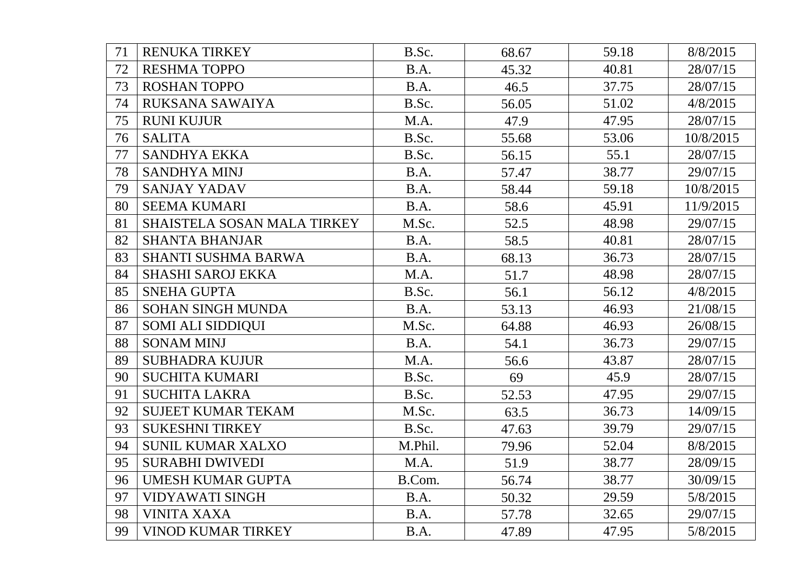| 71 | <b>RENUKA TIRKEY</b>        | B.Sc.   | 68.67 | 59.18 | 8/8/2015  |
|----|-----------------------------|---------|-------|-------|-----------|
| 72 | <b>RESHMA TOPPO</b>         | B.A.    | 45.32 | 40.81 | 28/07/15  |
| 73 | <b>ROSHAN TOPPO</b>         | B.A.    | 46.5  | 37.75 | 28/07/15  |
| 74 | RUKSANA SAWAIYA             | B.Sc.   | 56.05 | 51.02 | 4/8/2015  |
| 75 | <b>RUNI KUJUR</b>           | M.A.    | 47.9  | 47.95 | 28/07/15  |
| 76 | <b>SALITA</b>               | B.Sc.   | 55.68 | 53.06 | 10/8/2015 |
| 77 | <b>SANDHYA EKKA</b>         | B.Sc.   | 56.15 | 55.1  | 28/07/15  |
| 78 | <b>SANDHYA MINJ</b>         | B.A.    | 57.47 | 38.77 | 29/07/15  |
| 79 | <b>SANJAY YADAV</b>         | B.A.    | 58.44 | 59.18 | 10/8/2015 |
| 80 | <b>SEEMA KUMARI</b>         | B.A.    | 58.6  | 45.91 | 11/9/2015 |
| 81 | SHAISTELA SOSAN MALA TIRKEY | M.Sc.   | 52.5  | 48.98 | 29/07/15  |
| 82 | <b>SHANTA BHANJAR</b>       | B.A.    | 58.5  | 40.81 | 28/07/15  |
| 83 | <b>SHANTI SUSHMA BARWA</b>  | B.A.    | 68.13 | 36.73 | 28/07/15  |
| 84 | <b>SHASHI SAROJ EKKA</b>    | M.A.    | 51.7  | 48.98 | 28/07/15  |
| 85 | <b>SNEHA GUPTA</b>          | B.Sc.   | 56.1  | 56.12 | 4/8/2015  |
| 86 | <b>SOHAN SINGH MUNDA</b>    | B.A.    | 53.13 | 46.93 | 21/08/15  |
| 87 | <b>SOMI ALI SIDDIQUI</b>    | M.Sc.   | 64.88 | 46.93 | 26/08/15  |
| 88 | <b>SONAM MINJ</b>           | B.A.    | 54.1  | 36.73 | 29/07/15  |
| 89 | <b>SUBHADRA KUJUR</b>       | M.A.    | 56.6  | 43.87 | 28/07/15  |
| 90 | <b>SUCHITA KUMARI</b>       | B.Sc.   | 69    | 45.9  | 28/07/15  |
| 91 | <b>SUCHITA LAKRA</b>        | B.Sc.   | 52.53 | 47.95 | 29/07/15  |
| 92 | SUJEET KUMAR TEKAM          | M.Sc.   | 63.5  | 36.73 | 14/09/15  |
| 93 | <b>SUKESHNI TIRKEY</b>      | B.Sc.   | 47.63 | 39.79 | 29/07/15  |
| 94 | <b>SUNIL KUMAR XALXO</b>    | M.Phil. | 79.96 | 52.04 | 8/8/2015  |
| 95 | <b>SURABHI DWIVEDI</b>      | M.A.    | 51.9  | 38.77 | 28/09/15  |
| 96 | <b>UMESH KUMAR GUPTA</b>    | B.Com.  | 56.74 | 38.77 | 30/09/15  |
| 97 | <b>VIDYAWATI SINGH</b>      | B.A.    | 50.32 | 29.59 | 5/8/2015  |
| 98 | <b>VINITA XAXA</b>          | B.A.    | 57.78 | 32.65 | 29/07/15  |
| 99 | <b>VINOD KUMAR TIRKEY</b>   | B.A.    | 47.89 | 47.95 | 5/8/2015  |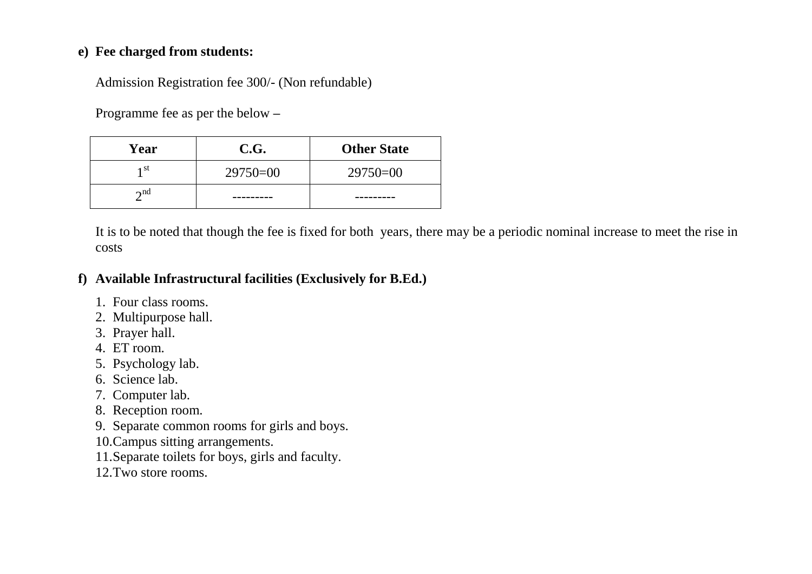#### **e) Fee charged from students:**

Admission Registration fee 300/- (Non refundable)

Programme fee as per the below **–**

| Year         | C.G.       | <b>Other State</b> |
|--------------|------------|--------------------|
| 1 St         | $29750=00$ | $29750=00$         |
| $\lambda$ nd |            |                    |

It is to be noted that though the fee is fixed for both years, there may be a periodic nominal increase to meet the rise in costs

### **f) Available Infrastructural facilities (Exclusively for B.Ed.)**

- 1. Four class rooms.
- 2. Multipurpose hall.
- 3. Prayer hall.
- 4. ET room.
- 5. Psychology lab.
- 6. Science lab.
- 7. Computer lab.
- 8. Reception room.
- 9. Separate common rooms for girls and boys.
- 10.Campus sitting arrangements.
- 11.Separate toilets for boys, girls and faculty.
- 12.Two store rooms.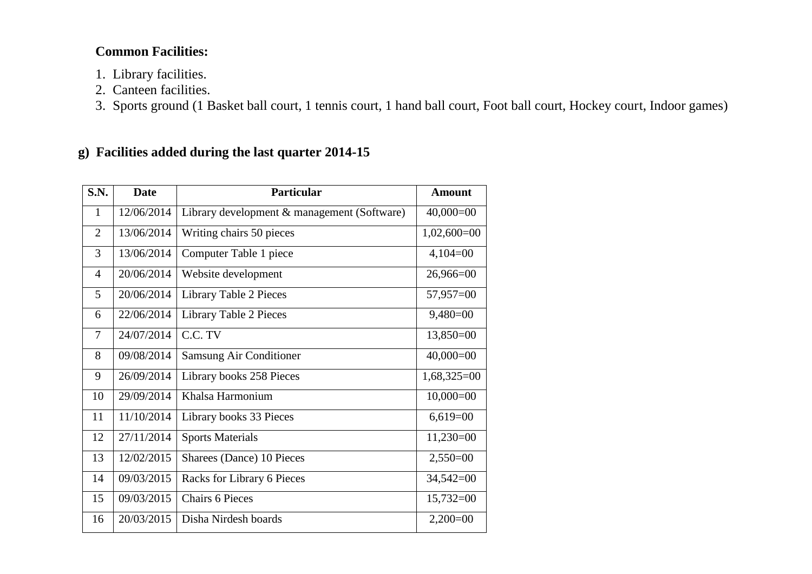## **Common Facilities:**

- 1. Library facilities.
- 2. Canteen facilities.
- 3. Sports ground (1 Basket ball court, 1 tennis court, 1 hand ball court, Foot ball court, Hockey court, Indoor games)

### **g) Facilities added during the last quarter 2014-15**

| S.N.           | <b>Date</b> | <b>Particular</b>                           | <b>Amount</b> |
|----------------|-------------|---------------------------------------------|---------------|
| $\mathbf{1}$   | 12/06/2014  | Library development & management (Software) | $40,000=00$   |
| $\overline{2}$ | 13/06/2014  | Writing chairs 50 pieces                    | $1,02,600=00$ |
| 3              | 13/06/2014  | Computer Table 1 piece                      | $4,104=00$    |
| $\overline{4}$ | 20/06/2014  | Website development                         | $26,966=00$   |
| 5              | 20/06/2014  | Library Table 2 Pieces                      | $57,957=00$   |
| 6              | 22/06/2014  | <b>Library Table 2 Pieces</b>               | $9,480=00$    |
| $\overline{7}$ | 24/07/2014  | C.C. TV                                     | $13,850=00$   |
| 8              | 09/08/2014  | <b>Samsung Air Conditioner</b>              | $40,000=00$   |
| 9              | 26/09/2014  | Library books 258 Pieces                    | $1,68,325=00$ |
| 10             | 29/09/2014  | Khalsa Harmonium                            | $10,000=00$   |
| 11             | 11/10/2014  | Library books 33 Pieces                     | $6,619=00$    |
| 12             | 27/11/2014  | <b>Sports Materials</b>                     | $11,230=00$   |
| 13             | 12/02/2015  | Sharees (Dance) 10 Pieces                   | $2,550=00$    |
| 14             | 09/03/2015  | Racks for Library 6 Pieces                  | $34,542=00$   |
| 15             | 09/03/2015  | <b>Chairs 6 Pieces</b>                      | $15,732=00$   |
| 16             | 20/03/2015  | Disha Nirdesh boards                        | $2,200=00$    |